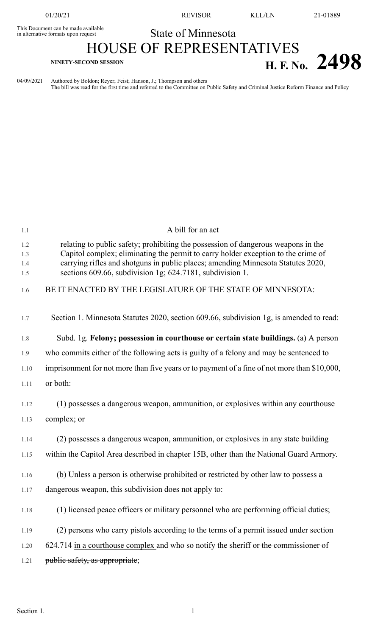This Document can be made available<br>in alternative formats upon request

01/20/21 REVISOR KLL/LN 21-01889

## State of Minnesota HOUSE OF REPRESENTATIVES **H. F. No.** 2498

04/09/2021 Authored by Boldon; Reyer; Feist; Hanson, J.; Thompson and others The bill was read for the first time and referred to the Committee on Public Safety and Criminal Justice Reform Finance and Policy

| 1.1                      | A bill for an act                                                                                                                                                                                                                                                                                                       |
|--------------------------|-------------------------------------------------------------------------------------------------------------------------------------------------------------------------------------------------------------------------------------------------------------------------------------------------------------------------|
| 1.2<br>1.3<br>1.4<br>1.5 | relating to public safety; prohibiting the possession of dangerous weapons in the<br>Capitol complex; eliminating the permit to carry holder exception to the crime of<br>carrying rifles and shotguns in public places; amending Minnesota Statutes 2020,<br>sections 609.66, subdivision 1g; 624.7181, subdivision 1. |
| 1.6                      | BE IT ENACTED BY THE LEGISLATURE OF THE STATE OF MINNESOTA:                                                                                                                                                                                                                                                             |
| 1.7                      | Section 1. Minnesota Statutes 2020, section 609.66, subdivision 1g, is amended to read:                                                                                                                                                                                                                                 |
| 1.8                      | Subd. 1g. Felony; possession in courthouse or certain state buildings. (a) A person                                                                                                                                                                                                                                     |
| 1.9                      | who commits either of the following acts is guilty of a felony and may be sentenced to                                                                                                                                                                                                                                  |
| 1.10                     | imprisonment for not more than five years or to payment of a fine of not more than \$10,000,                                                                                                                                                                                                                            |
| 1.11                     | or both:                                                                                                                                                                                                                                                                                                                |
| 1.12                     | (1) possesses a dangerous weapon, ammunition, or explosives within any courthouse                                                                                                                                                                                                                                       |
| 1.13                     | complex; or                                                                                                                                                                                                                                                                                                             |
| 1.14                     | (2) possesses a dangerous weapon, ammunition, or explosives in any state building                                                                                                                                                                                                                                       |
| 1.15                     | within the Capitol Area described in chapter 15B, other than the National Guard Armory.                                                                                                                                                                                                                                 |
| 1.16                     | (b) Unless a person is otherwise prohibited or restricted by other law to possess a                                                                                                                                                                                                                                     |
| 1.17                     | dangerous weapon, this subdivision does not apply to:                                                                                                                                                                                                                                                                   |
| 1.18                     | (1) licensed peace officers or military personnel who are performing official duties;                                                                                                                                                                                                                                   |
| 1.19                     | (2) persons who carry pistols according to the terms of a permit issued under section                                                                                                                                                                                                                                   |
| 1.20                     | 624.714 in a courthouse complex and who so notify the sheriff or the commissioner of                                                                                                                                                                                                                                    |
| 1.21                     | public safety, as appropriate;                                                                                                                                                                                                                                                                                          |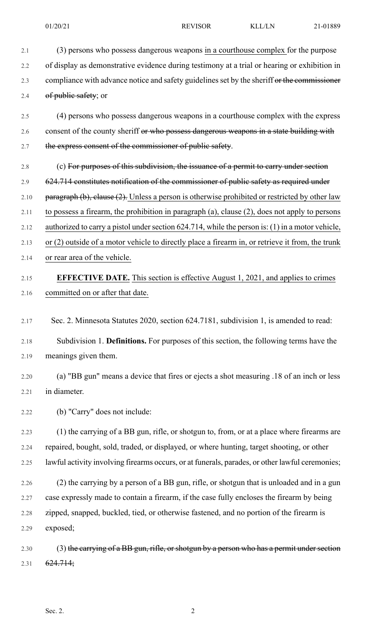- 2.1 (3) persons who possess dangerous weapons in a courthouse complex for the purpose 2.2 of display as demonstrative evidence during testimony at a trial or hearing or exhibition in 2.3 compliance with advance notice and safety guidelines set by the sheriff or the commissioner 2.4 of public safety; or
- 2.5 (4) persons who possess dangerous weapons in a courthouse complex with the express 2.6 consent of the county sheriff or who possess dangerous weapons in a state building with 2.7 the express consent of the commissioner of public safety.
- 2.8 (c) For purposes of this subdivision, the issuance of a permit to carry under section 2.9 624.714 constitutes notification of the commissioner of public safety as required under 2.10 paragraph  $(b)$ , clause  $(2)$ . Unless a person is otherwise prohibited or restricted by other law 2.11 to possess a firearm, the prohibition in paragraph (a), clause (2), does not apply to persons 2.12 authorized to carry a pistol under section 624.714, while the person is: (1) in a motor vehicle, 2.13 or (2) outside of a motor vehicle to directly place a firearm in, or retrieve it from, the trunk 2.14 or rear area of the vehicle.

## 2.15 **EFFECTIVE DATE.** This section is effective August 1, 2021, and applies to crimes

- 2.16 committed on or after that date.
- 2.17 Sec. 2. Minnesota Statutes 2020, section 624.7181, subdivision 1, is amended to read:
- 2.18 Subdivision 1. **Definitions.** For purposes of this section, the following terms have the 2.19 meanings given them.
- 2.20 (a) "BB gun" means a device that fires or ejects a shot measuring .18 of an inch or less 2.21 in diameter.
- 2.22 (b) "Carry" does not include:
- 2.23 (1) the carrying of a BB gun, rifle, or shotgun to, from, or at a place where firearms are 2.24 repaired, bought, sold, traded, or displayed, or where hunting, target shooting, or other 2.25 lawful activity involving firearms occurs, or at funerals, parades, or other lawful ceremonies;
- 2.26 (2) the carrying by a person of a BB gun, rifle, or shotgun that is unloaded and in a gun 2.27 case expressly made to contain a firearm, if the case fully encloses the firearm by being 2.28 zipped, snapped, buckled, tied, or otherwise fastened, and no portion of the firearm is 2.29 exposed;

2.30 (3) the carrying of a BB gun, rifle, or shotgun by a person who has a permit under section 2.31 624.714;